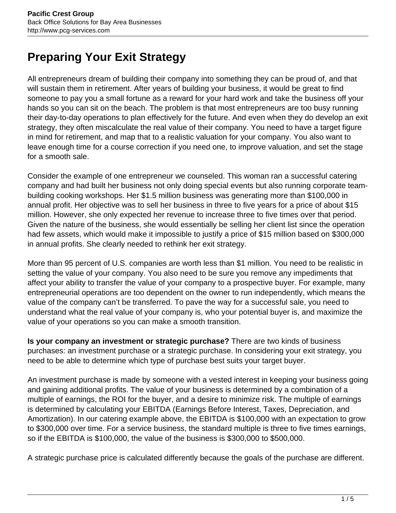## **Preparing Your Exit Strategy**

All entrepreneurs dream of building their company into something they can be proud of, and that will sustain them in retirement. After years of building your business, it would be great to find someone to pay you a small fortune as a reward for your hard work and take the business off your hands so you can sit on the beach. The problem is that most entrepreneurs are too busy running their day-to-day operations to plan effectively for the future. And even when they do develop an exit strategy, they often miscalculate the real value of their company. You need to have a target figure in mind for retirement, and map that to a realistic valuation for your company. You also want to leave enough time for a course correction if you need one, to improve valuation, and set the stage for a smooth sale.

Consider the example of one entrepreneur we counseled. This woman ran a successful catering company and had built her business not only doing special events but also running corporate teambuilding cooking workshops. Her \$1.5 million business was generating more than \$100,000 in annual profit. Her objective was to sell her business in three to five years for a price of about \$15 million. However, she only expected her revenue to increase three to five times over that period. Given the nature of the business, she would essentially be selling her client list since the operation had few assets, which would make it impossible to justify a price of \$15 million based on \$300,000 in annual profits. She clearly needed to rethink her exit strategy.

More than 95 percent of U.S. companies are worth less than \$1 million. You need to be realistic in setting the value of your company. You also need to be sure you remove any impediments that affect your ability to transfer the value of your company to a prospective buyer. For example, many entrepreneurial operations are too dependent on the owner to run independently, which means the value of the company can't be transferred. To pave the way for a successful sale, you need to understand what the real value of your company is, who your potential buyer is, and maximize the value of your operations so you can make a smooth transition.

**Is your company an investment or strategic purchase?** There are two kinds of business purchases: an investment purchase or a strategic purchase. In considering your exit strategy, you need to be able to determine which type of purchase best suits your target buyer.

An investment purchase is made by someone with a vested interest in keeping your business going and gaining additional profits. The value of your business is determined by a combination of a multiple of earnings, the ROI for the buyer, and a desire to minimize risk. The multiple of earnings is determined by calculating your EBITDA (Earnings Before Interest, Taxes, Depreciation, and Amortization). In our catering example above, the EBITDA is \$100,000 with an expectation to grow to \$300,000 over time. For a service business, the standard multiple is three to five times earnings, so if the EBITDA is \$100,000, the value of the business is \$300,000 to \$500,000.

A strategic purchase price is calculated differently because the goals of the purchase are different.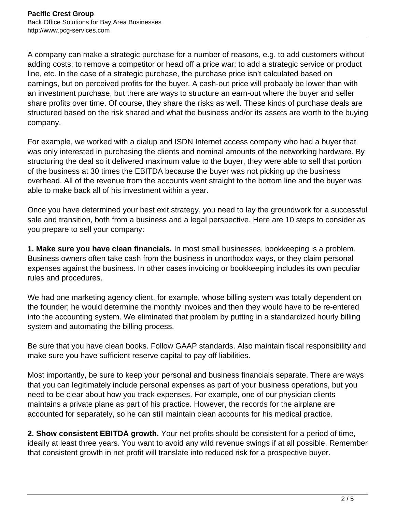A company can make a strategic purchase for a number of reasons, e.g. to add customers without adding costs; to remove a competitor or head off a price war; to add a strategic service or product line, etc. In the case of a strategic purchase, the purchase price isn't calculated based on earnings, but on perceived profits for the buyer. A cash-out price will probably be lower than with an investment purchase, but there are ways to structure an earn-out where the buyer and seller share profits over time. Of course, they share the risks as well. These kinds of purchase deals are structured based on the risk shared and what the business and/or its assets are worth to the buying company.

For example, we worked with a dialup and ISDN Internet access company who had a buyer that was only interested in purchasing the clients and nominal amounts of the networking hardware. By structuring the deal so it delivered maximum value to the buyer, they were able to sell that portion of the business at 30 times the EBITDA because the buyer was not picking up the business overhead. All of the revenue from the accounts went straight to the bottom line and the buyer was able to make back all of his investment within a year.

Once you have determined your best exit strategy, you need to lay the groundwork for a successful sale and transition, both from a business and a legal perspective. Here are 10 steps to consider as you prepare to sell your company:

**1. Make sure you have clean financials.** In most small businesses, bookkeeping is a problem. Business owners often take cash from the business in unorthodox ways, or they claim personal expenses against the business. In other cases invoicing or bookkeeping includes its own peculiar rules and procedures.

We had one marketing agency client, for example, whose billing system was totally dependent on the founder; he would determine the monthly invoices and then they would have to be re-entered into the accounting system. We eliminated that problem by putting in a standardized hourly billing system and automating the billing process.

Be sure that you have clean books. Follow GAAP standards. Also maintain fiscal responsibility and make sure you have sufficient reserve capital to pay off liabilities.

Most importantly, be sure to keep your personal and business financials separate. There are ways that you can legitimately include personal expenses as part of your business operations, but you need to be clear about how you track expenses. For example, one of our physician clients maintains a private plane as part of his practice. However, the records for the airplane are accounted for separately, so he can still maintain clean accounts for his medical practice.

**2. Show consistent EBITDA growth.** Your net profits should be consistent for a period of time, ideally at least three years. You want to avoid any wild revenue swings if at all possible. Remember that consistent growth in net profit will translate into reduced risk for a prospective buyer.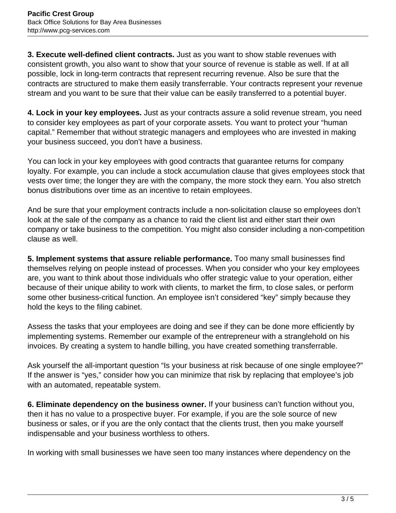**3. Execute well-defined client contracts.** Just as you want to show stable revenues with consistent growth, you also want to show that your source of revenue is stable as well. If at all possible, lock in long-term contracts that represent recurring revenue. Also be sure that the contracts are structured to make them easily transferrable. Your contracts represent your revenue stream and you want to be sure that their value can be easily transferred to a potential buyer.

**4. Lock in your key employees.** Just as your contracts assure a solid revenue stream, you need to consider key employees as part of your corporate assets. You want to protect your "human capital." Remember that without strategic managers and employees who are invested in making your business succeed, you don't have a business.

You can lock in your key employees with good contracts that guarantee returns for company loyalty. For example, you can include a stock accumulation clause that gives employees stock that vests over time; the longer they are with the company, the more stock they earn. You also stretch bonus distributions over time as an incentive to retain employees.

And be sure that your employment contracts include a non-solicitation clause so employees don't look at the sale of the company as a chance to raid the client list and either start their own company or take business to the competition. You might also consider including a non-competition clause as well.

**5. Implement systems that assure reliable performance.** Too many small businesses find themselves relying on people instead of processes. When you consider who your key employees are, you want to think about those individuals who offer strategic value to your operation, either because of their unique ability to work with clients, to market the firm, to close sales, or perform some other business-critical function. An employee isn't considered "key" simply because they hold the keys to the filing cabinet.

Assess the tasks that your employees are doing and see if they can be done more efficiently by implementing systems. Remember our example of the entrepreneur with a stranglehold on his invoices. By creating a system to handle billing, you have created something transferrable.

Ask yourself the all-important question "Is your business at risk because of one single employee?" If the answer is "yes," consider how you can minimize that risk by replacing that employee's job with an automated, repeatable system.

**6. Eliminate dependency on the business owner.** If your business can't function without you, then it has no value to a prospective buyer. For example, if you are the sole source of new business or sales, or if you are the only contact that the clients trust, then you make yourself indispensable and your business worthless to others.

In working with small businesses we have seen too many instances where dependency on the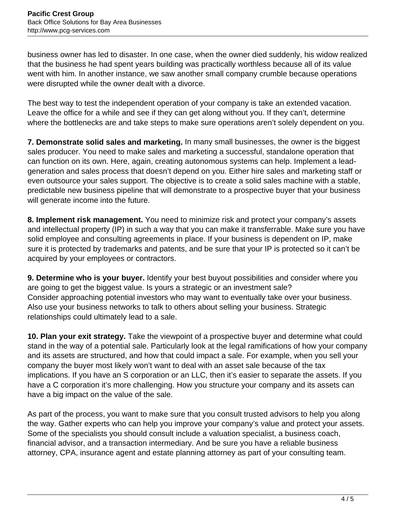business owner has led to disaster. In one case, when the owner died suddenly, his widow realized that the business he had spent years building was practically worthless because all of its value went with him. In another instance, we saw another small company crumble because operations were disrupted while the owner dealt with a divorce.

The best way to test the independent operation of your company is take an extended vacation. Leave the office for a while and see if they can get along without you. If they can't, determine where the bottlenecks are and take steps to make sure operations aren't solely dependent on you.

**7. Demonstrate solid sales and marketing.** In many small businesses, the owner is the biggest sales producer. You need to make sales and marketing a successful, standalone operation that can function on its own. Here, again, creating autonomous systems can help. Implement a leadgeneration and sales process that doesn't depend on you. Either hire sales and marketing staff or even outsource your sales support. The objective is to create a solid sales machine with a stable, predictable new business pipeline that will demonstrate to a prospective buyer that your business will generate income into the future.

**8. Implement risk management.** You need to minimize risk and protect your company's assets and intellectual property (IP) in such a way that you can make it transferrable. Make sure you have solid employee and consulting agreements in place. If your business is dependent on IP, make sure it is protected by trademarks and patents, and be sure that your IP is protected so it can't be acquired by your employees or contractors.

**9. Determine who is your buyer.** Identify your best buyout possibilities and consider where you are going to get the biggest value. Is yours a strategic or an investment sale? Consider approaching potential investors who may want to eventually take over your business. Also use your business networks to talk to others about selling your business. Strategic relationships could ultimately lead to a sale.

**10. Plan your exit strategy.** Take the viewpoint of a prospective buyer and determine what could stand in the way of a potential sale. Particularly look at the legal ramifications of how your company and its assets are structured, and how that could impact a sale. For example, when you sell your company the buyer most likely won't want to deal with an asset sale because of the tax implications. If you have an S corporation or an LLC, then it's easier to separate the assets. If you have a C corporation it's more challenging. How you structure your company and its assets can have a big impact on the value of the sale.

As part of the process, you want to make sure that you consult trusted advisors to help you along the way. Gather experts who can help you improve your company's value and protect your assets. Some of the specialists you should consult include a valuation specialist, a business coach, financial advisor, and a transaction intermediary. And be sure you have a reliable business attorney, CPA, insurance agent and estate planning attorney as part of your consulting team.